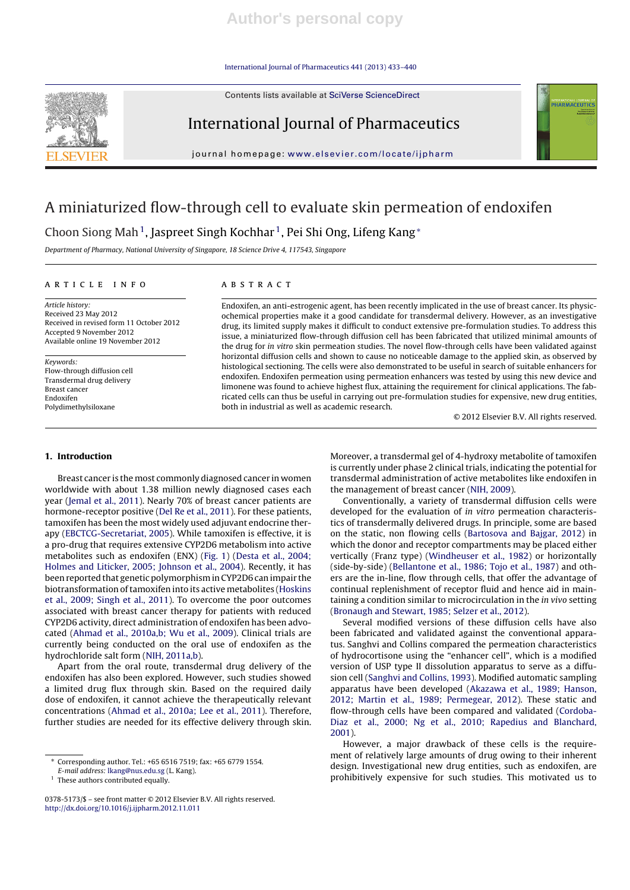International Journal of Pharmaceutics 441 (2013) 433–440

Contents lists available at SciVerse ScienceDirect



## International Journal of Pharmaceutics

journal homepage: www.elsevier.com/locate/ijpharm

# A miniaturized flow-through cell to evaluate skin permeation of endoxifen

Choon Siong Mah<sup>1</sup>, Jaspreet Singh Kochhar<sup>1</sup>, Pei Shi Ong, Lifeng Kang<sup>∗</sup>

Department of Pharmacy, National University of Singapore, 18 Science Drive 4, 117543, Singapore

#### a r t i c l e i n f o

Article history: Received 23 May 2012 Received in revised form 11 October 2012 Accepted 9 November 2012 Available online 19 November 2012

Keywords: Flow-through diffusion cell Transdermal drug delivery Breast cancer Endoxifen Polydimethylsiloxane

#### A B S T R A C T

Endoxifen, an anti-estrogenic agent, has been recently implicated in the use of breast cancer. Its physicochemical properties make it a good candidate for transdermal delivery. However, as an investigative drug, its limited supply makes it difficult to conduct extensive pre-formulation studies. To address this issue, a miniaturized flow-through diffusion cell has been fabricated that utilized minimal amounts of the drug for in vitro skin permeation studies. The novel flow-through cells have been validated against horizontal diffusion cells and shown to cause no noticeable damage to the applied skin, as observed by histological sectioning. The cells were also demonstrated to be useful in search of suitable enhancers for endoxifen. Endoxifen permeation using permeation enhancers was tested by using this new device and limonene was found to achieve highest flux, attaining the requirement for clinical applications. The fabricated cells can thus be useful in carrying out pre-formulation studies for expensive, new drug entities, both in industrial as well as academic research.

© 2012 Elsevier B.V. All rights reserved.

NTERNATIONAL JOURNAL (<br>PHARMACEUTIC)

#### **1. Introduction**

Breast cancer is the most commonly diagnosed cancer in women worldwide with about 1.38 million newly diagnosed cases each year (Jemal et al., 2011). Nearly 70% of breast cancer patients are hormone-receptor positive (Del Re et al., 2011). For these patients, tamoxifen has been the most widely used adjuvant endocrine therapy (EBCTCG-Secretariat, 2005). While tamoxifen is effective, it is a pro-drug that requires extensive CYP2D6 metabolism into active metabolites such as endoxifen (ENX) (Fig. 1) (Desta et al., 2004; Holmes and Liticker, 2005; Johnson et al., 2004). Recently, it has been reported that genetic polymorphismin CYP2D6 can impair the biotransformation oftamoxifen into its active metabolites (Hoskins et al., 2009; Singh et al., 2011). To overcome the poor outcomes associated with breast cancer therapy for patients with reduced CYP2D6 activity, direct administration of endoxifen has been advocated (Ahmad et al., 2010a,b; Wu et al., 2009). Clinical trials are currently being conducted on the oral use of endoxifen as the hydrochloride salt form (NIH, 2011a,b).

Apart from the oral route, transdermal drug delivery of the endoxifen has also been explored. However, such studies showed a limited drug flux through skin. Based on the required daily dose of endoxifen, it cannot achieve the therapeutically relevant concentrations (Ahmad et al., 2010a; Lee et al., 2011). Therefore, further studies are needed for its effective delivery through skin.

∗ Corresponding author. Tel.: +65 6516 7519; fax: +65 6779 1554.

<sup>1</sup> These authors contributed equally.

Moreover, a transdermal gel of 4-hydroxy metabolite of tamoxifen is currently under phase 2 clinical trials, indicating the potential for transdermal administration of active metabolites like endoxifen in the management of breast cancer (NIH, 2009).

Conventionally, a variety of transdermal diffusion cells were developed for the evaluation of in vitro permeation characteristics of transdermally delivered drugs. In principle, some are based on the static, non flowing cells (Bartosova and Bajgar, 2012) in which the donor and receptor compartments may be placed either vertically (Franz type) (Windheuser et al., 1982) or horizontally (side-by-side) (Bellantone et al., 1986; Tojo et al., 1987) and others are the in-line, flow through cells, that offer the advantage of continual replenishment of receptor fluid and hence aid in maintaining a condition similar to microcirculation in the in vivo setting (Bronaugh and Stewart, 1985; Selzer et al., 2012).

Several modified versions of these diffusion cells have also been fabricated and validated against the conventional apparatus. Sanghvi and Collins compared the permeation characteristics of hydrocortisone using the "enhancer cell", which is a modified version of USP type II dissolution apparatus to serve as a diffusion cell (Sanghvi and Collins, 1993). Modified automatic sampling apparatus have been developed (Akazawa et al., 1989; Hanson, 2012; Martin et al., 1989; Permegear, 2012). These static and flow-through cells have been compared and validated (Cordoba-Diaz et al., 2000; Ng et al., 2010; Rapedius and Blanchard, 2001).

However, a major drawback of these cells is the requirement of relatively large amounts of drug owing to their inherent design. Investigational new drug entities, such as endoxifen, are prohibitively expensive for such studies. This motivated us to

E-mail address: lkang@nus.edu.sg (L. Kang).

<sup>0378-5173/\$</sup> – see front matter © 2012 Elsevier B.V. All rights reserved. http://dx.doi.org/10.1016/j.ijpharm.2012.11.011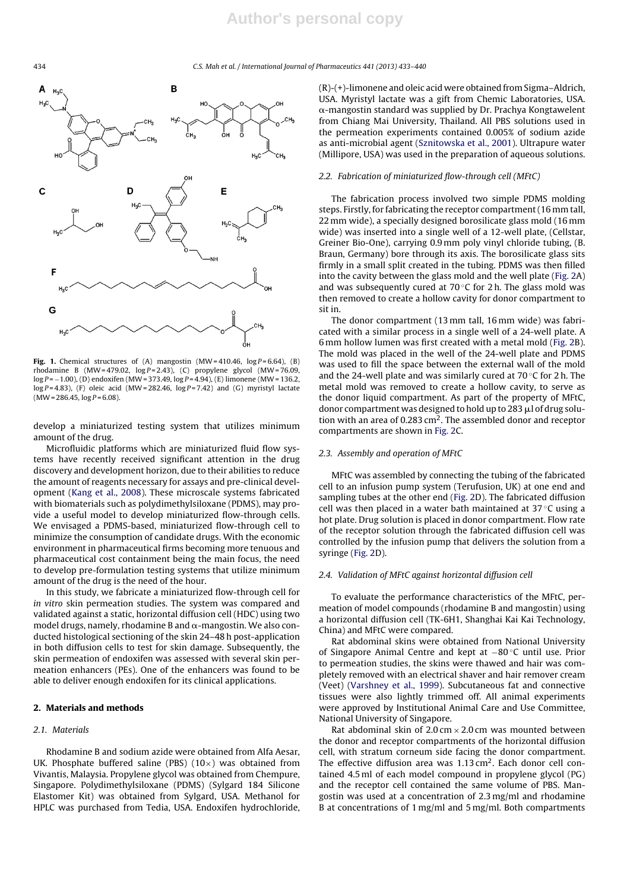434 C.S. Mah et al. / International Journal of Pharmaceutics *441 (2013) 433–440*



Fig. 1. Chemical structures of  $(A)$  mangostin  $(MW = 410.46, log P = 6.64)$ ,  $(B)$ rhodamine B (MW= 479.02,  $log P = 2.43$ ), (C) propylene glycol (MW= 76.09,  $log P = -1.00$ ), (D) endoxifen (MW = 373.49,  $log P = 4.94$ ), (E) limonene (MW = 136.2,  $log P = 4.83$ ), (F) oleic acid (MW= 282.46,  $log P = 7.42$ ) and (G) myristyl lactate  $(MW = 286.45, \log P = 6.08)$ .

develop a miniaturized testing system that utilizes minimum amount of the drug.

Microfluidic platforms which are miniaturized fluid flow systems have recently received significant attention in the drug discovery and development horizon, due to their abilities to reduce the amount of reagents necessary for assays and pre-clinical development (Kang et al., 2008). These microscale systems fabricated with biomaterials such as polydimethylsiloxane (PDMS), may provide a useful model to develop miniaturized flow-through cells. We envisaged a PDMS-based, miniaturized flow-through cell to minimize the consumption of candidate drugs. With the economic environment in pharmaceutical firms becoming more tenuous and pharmaceutical cost containment being the main focus, the need to develop pre-formulation testing systems that utilize minimum amount of the drug is the need of the hour.

In this study, we fabricate a miniaturized flow-through cell for in vitro skin permeation studies. The system was compared and validated against a static, horizontal diffusion cell (HDC) using two model drugs, namely, rhodamine B and  $\alpha$ -mangostin. We also conducted histological sectioning of the skin 24–48 h post-application in both diffusion cells to test for skin damage. Subsequently, the skin permeation of endoxifen was assessed with several skin permeation enhancers (PEs). One of the enhancers was found to be able to deliver enough endoxifen for its clinical applications.

#### **2. Materials and methods**

#### 2.1. Materials

Rhodamine B and sodium azide were obtained from Alfa Aesar, UK. Phosphate buffered saline (PBS)  $(10\times)$  was obtained from Vivantis, Malaysia. Propylene glycol was obtained from Chempure, Singapore. Polydimethylsiloxane (PDMS) (Sylgard 184 Silicone Elastomer Kit) was obtained from Sylgard, USA. Methanol for HPLC was purchased from Tedia, USA. Endoxifen hydrochloride,

(R)-(+)-limonene and oleic acid were obtained from Sigma–Aldrich, USA. Myristyl lactate was a gift from Chemic Laboratories, USA. --mangostin standard was supplied by Dr. Prachya Kongtawelent from Chiang Mai University, Thailand. All PBS solutions used in the permeation experiments contained 0.005% of sodium azide as anti-microbial agent (Sznitowska et al., 2001). Ultrapure water (Millipore, USA) was used in the preparation of aqueous solutions.

#### 2.2. Fabrication of miniaturized flow-through cell (MFtC)

The fabrication process involved two simple PDMS molding steps. Firstly, for fabricating the receptor compartment(16 mm tall, 22 mm wide), a specially designed borosilicate glass mold (16 mm wide) was inserted into a single well of a 12-well plate, (Cellstar, Greiner Bio-One), carrying 0.9 mm poly vinyl chloride tubing, (B. Braun, Germany) bore through its axis. The borosilicate glass sits firmly in a small split created in the tubing. PDMS was then filled into the cavity between the glass mold and the well plate (Fig. 2A) and was subsequently cured at 70 $\degree$ C for 2 h. The glass mold was then removed to create a hollow cavity for donor compartment to sit in.

The donor compartment (13 mm tall, 16 mm wide) was fabricated with a similar process in a single well of a 24-well plate. A 6 mm hollow lumen was first created with a metal mold (Fig. 2B). The mold was placed in the well of the 24-well plate and PDMS was used to fill the space between the external wall of the mold and the 24-well plate and was similarly cured at  $70^{\circ}$ C for 2 h. The metal mold was removed to create a hollow cavity, to serve as the donor liquid compartment. As part of the property of MFtC, donor compartment was designed to hold up to 283 µl of drug solution with an area of 0.283  $\text{cm}^2$ . The assembled donor and receptor compartments are shown in Fig. 2C.

#### 2.3. Assembly and operation of MFtC

MFtC was assembled by connecting the tubing of the fabricated cell to an infusion pump system (Terufusion, UK) at one end and sampling tubes at the other end (Fig. 2D). The fabricated diffusion cell was then placed in a water bath maintained at  $37^{\circ}$ C using a hot plate. Drug solution is placed in donor compartment. Flow rate of the receptor solution through the fabricated diffusion cell was controlled by the infusion pump that delivers the solution from a syringe (Fig. 2D).

#### 2.4. Validation of MFtC against horizontal diffusion cell

To evaluate the performance characteristics of the MFtC, permeation of model compounds (rhodamine B and mangostin) using a horizontal diffusion cell (TK-6H1, Shanghai Kai Kai Technology, China) and MFtC were compared.

Rat abdominal skins were obtained from National University of Singapore Animal Centre and kept at −80 ◦C until use. Prior to permeation studies, the skins were thawed and hair was completely removed with an electrical shaver and hair remover cream (Veet) (Varshney et al., 1999). Subcutaneous fat and connective tissues were also lightly trimmed off. All animal experiments were approved by Institutional Animal Care and Use Committee, National University of Singapore.

Rat abdominal skin of  $2.0 \text{ cm} \times 2.0 \text{ cm}$  was mounted between the donor and receptor compartments of the horizontal diffusion cell, with stratum corneum side facing the donor compartment. The effective diffusion area was  $1.13 \text{ cm}^2$ . Each donor cell contained 4.5 ml of each model compound in propylene glycol (PG) and the receptor cell contained the same volume of PBS. Mangostin was used at a concentration of 2.3 mg/ml and rhodamine B at concentrations of 1 mg/ml and 5 mg/ml. Both compartments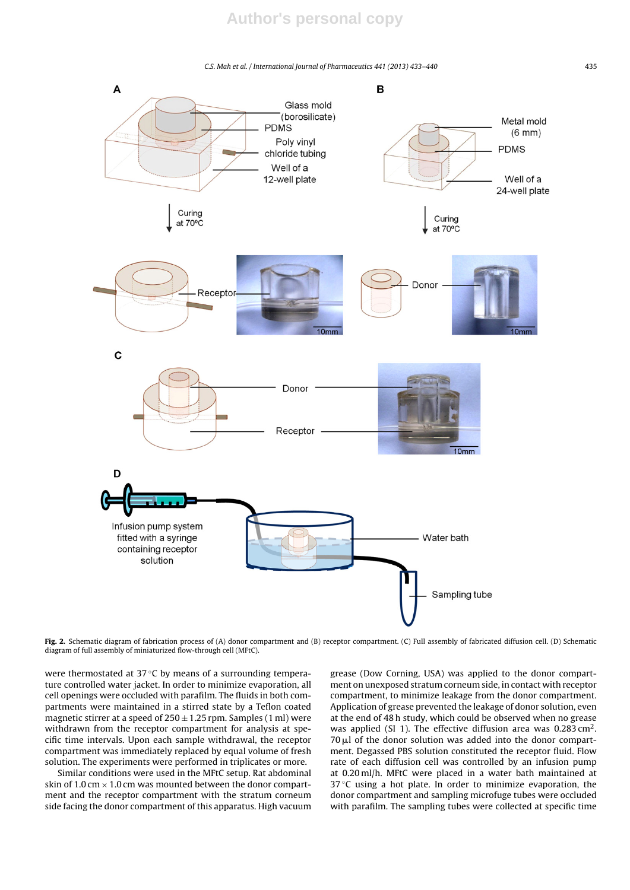C.S. Mah et al. / International Journal of Pharmaceutics *441 (2013) 433–440* 435



**Fig. 2.** Schematic diagram of fabrication process of (A) donor compartment and (B) receptor compartment. (C) Full assembly of fabricated diffusion cell. (D) Schematic diagram of full assembly of miniaturized flow-through cell (MFtC).

were thermostated at 37 °C by means of a surrounding temperature controlled water jacket. In order to minimize evaporation, all cell openings were occluded with parafilm. The fluids in both compartments were maintained in a stirred state by a Teflon coated magnetic stirrer at a speed of  $250 \pm 1.25$  rpm. Samples (1 ml) were withdrawn from the receptor compartment for analysis at specific time intervals. Upon each sample withdrawal, the receptor compartment was immediately replaced by equal volume of fresh solution. The experiments were performed in triplicates or more.

Similar conditions were used in the MFtC setup. Rat abdominal skin of 1.0 cm  $\times$  1.0 cm was mounted between the donor compartment and the receptor compartment with the stratum corneum side facing the donor compartment of this apparatus. High vacuum

grease (Dow Corning, USA) was applied to the donor compartment on unexposed stratum corneum side, in contact with receptor compartment, to minimize leakage from the donor compartment. Application of grease prevented the leakage of donor solution, even at the end of 48 h study, which could be observed when no grease was applied (SI 1). The effective diffusion area was  $0.283 \text{ cm}^2$ .  $70 \mu$ l of the donor solution was added into the donor compartment. Degassed PBS solution constituted the receptor fluid. Flow rate of each diffusion cell was controlled by an infusion pump at 0.20 ml/h. MFtC were placed in a water bath maintained at 37 °C using a hot plate. In order to minimize evaporation, the donor compartment and sampling microfuge tubes were occluded with parafilm. The sampling tubes were collected at specific time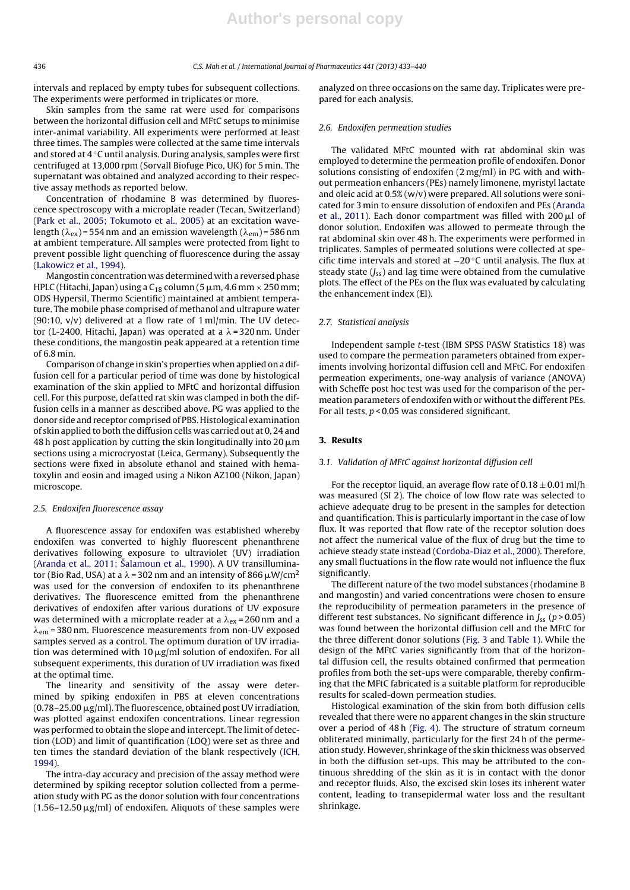intervals and replaced by empty tubes for subsequent collections. The experiments were performed in triplicates or more.

Skin samples from the same rat were used for comparisons between the horizontal diffusion cell and MFtC setups to minimise inter-animal variability. All experiments were performed at least three times. The samples were collected at the same time intervals and stored at 4 ◦C until analysis. During analysis, samples were first centrifuged at 13,000 rpm (Sorvall Biofuge Pico, UK) for 5 min. The supernatant was obtained and analyzed according to their respective assay methods as reported below.

Concentration of rhodamine B was determined by fluorescence spectroscopy with a microplate reader (Tecan, Switzerland) (Park et al., 2005; Tokumoto et al., 2005) at an excitation wavelength ( $\lambda_{\rm ex}$ )=554 nm and an emission wavelength ( $\lambda_{\rm em}$ )=586 nm at ambient temperature. All samples were protected from light to prevent possible light quenching of fluorescence during the assay (Lakowicz et al., 1994).

Mangostin concentration was determined with a reversed phase HPLC (Hitachi, Japan) using a  $C_{18}$  column (5  $\mu$ m, 4.6 mm × 250 mm; ODS Hypersil, Thermo Scientific) maintained at ambient temperature. The mobile phase comprised of methanol and ultrapure water (90:10, v/v) delivered at a flow rate of 1 ml/min. The UV detector (L-2400, Hitachi, Japan) was operated at a  $\lambda$  = 320 nm. Under these conditions, the mangostin peak appeared at a retention time of 6.8 min.

Comparison of change in skin's properties when applied on a diffusion cell for a particular period of time was done by histological examination of the skin applied to MFtC and horizontal diffusion cell. For this purpose, defatted rat skin was clamped in both the diffusion cells in a manner as described above. PG was applied to the donor side and receptor comprised of PBS. Histological examination of skin applied to both the diffusion cells was carried out at 0, 24 and 48 h post application by cutting the skin longitudinally into 20  $\mu$ m sections using a microcryostat (Leica, Germany). Subsequently the sections were fixed in absolute ethanol and stained with hematoxylin and eosin and imaged using a Nikon AZ100 (Nikon, Japan) microscope.

#### 2.5. Endoxifen fluorescence assay

A fluorescence assay for endoxifen was established whereby endoxifen was converted to highly fluorescent phenanthrene derivatives following exposure to ultraviolet (UV) irradiation (Aranda et al., 2011; Šalamoun et al., 1990). A UV transilluminator (Bio Rad, USA) at a  $\lambda$  = 302 nm and an intensity of 866  $\mu$ W/cm $^2$ was used for the conversion of endoxifen to its phenanthrene derivatives. The fluorescence emitted from the phenanthrene derivatives of endoxifen after various durations of UV exposure was determined with a microplate reader at a  $\lambda_{\rm ex}$ =260 nm and a  $\lambda_{\rm em}$  = 380 nm. Fluorescence measurements from non-UV exposed samples served as a control. The optimum duration of UV irradiation was determined with  $10 \mu g/ml$  solution of endoxifen. For all subsequent experiments, this duration of UV irradiation was fixed at the optimal time.

The linearity and sensitivity of the assay were determined by spiking endoxifen in PBS at eleven concentrations  $(0.78-25.00 \,\mu g/ml)$ . The fluorescence, obtained post UV irradiation, was plotted against endoxifen concentrations. Linear regression was performed to obtain the slope and intercept. The limit of detection (LOD) and limit of quantification (LOQ) were set as three and ten times the standard deviation of the blank respectively (ICH, 1994).

The intra-day accuracy and precision of the assay method were determined by spiking receptor solution collected from a permeation study with PG as the donor solution with four concentrations  $(1.56-12.50 \,\mu g/ml)$  of endoxifen. Aliquots of these samples were

analyzed on three occasions on the same day. Triplicates were prepared for each analysis.

#### 2.6. Endoxifen permeation studies

The validated MFtC mounted with rat abdominal skin was employed to determine the permeation profile of endoxifen. Donor solutions consisting of endoxifen (2 mg/ml) in PG with and without permeation enhancers (PEs) namely limonene, myristyl lactate and oleic acid at 0.5% (w/v) were prepared. All solutions were sonicated for 3 min to ensure dissolution of endoxifen and PEs (Aranda et al., 2011). Each donor compartment was filled with  $200 \mu l$  of donor solution. Endoxifen was allowed to permeate through the rat abdominal skin over 48 h. The experiments were performed in triplicates. Samples of permeated solutions were collected at specific time intervals and stored at −20 ◦C until analysis. The flux at steady state  $(J_{ss})$  and lag time were obtained from the cumulative plots. The effect of the PEs on the flux was evaluated by calculating the enhancement index (EI).

#### 2.7. Statistical analysis

Independent sample t-test (IBM SPSS PASW Statistics 18) was used to compare the permeation parameters obtained from experiments involving horizontal diffusion cell and MFtC. For endoxifen permeation experiments, one-way analysis of variance (ANOVA) with Scheffe post hoc test was used for the comparison of the permeation parameters of endoxifen with or without the different PEs. For all tests,  $p < 0.05$  was considered significant.

#### **3. Results**

#### 3.1. Validation of MFtC against horizontal diffusion cell

For the receptor liquid, an average flow rate of  $0.18 \pm 0.01$  ml/h was measured (SI 2). The choice of low flow rate was selected to achieve adequate drug to be present in the samples for detection and quantification. This is particularly important in the case of low flux. It was reported that flow rate of the receptor solution does not affect the numerical value of the flux of drug but the time to achieve steady state instead (Cordoba-Diaz et al., 2000). Therefore, any small fluctuations in the flow rate would not influence the flux significantly.

The different nature of the two model substances (rhodamine B and mangostin) and varied concentrations were chosen to ensure the reproducibility of permeation parameters in the presence of different test substances. No significant difference in  $J_{ss}$  ( $p > 0.05$ ) was found between the horizontal diffusion cell and the MFtC for the three different donor solutions (Fig. 3 and Table 1). While the design of the MFtC varies significantly from that of the horizontal diffusion cell, the results obtained confirmed that permeation profiles from both the set-ups were comparable, thereby confirming that the MFtC fabricated is a suitable platform for reproducible results for scaled-down permeation studies.

Histological examination of the skin from both diffusion cells revealed that there were no apparent changes in the skin structure over a period of 48 h (Fig. 4). The structure of stratum corneum obliterated minimally, particularly for the first 24 h of the permeation study. However, shrinkage of the skin thickness was observed in both the diffusion set-ups. This may be attributed to the continuous shredding of the skin as it is in contact with the donor and receptor fluids. Also, the excised skin loses its inherent water content, leading to transepidermal water loss and the resultant shrinkage.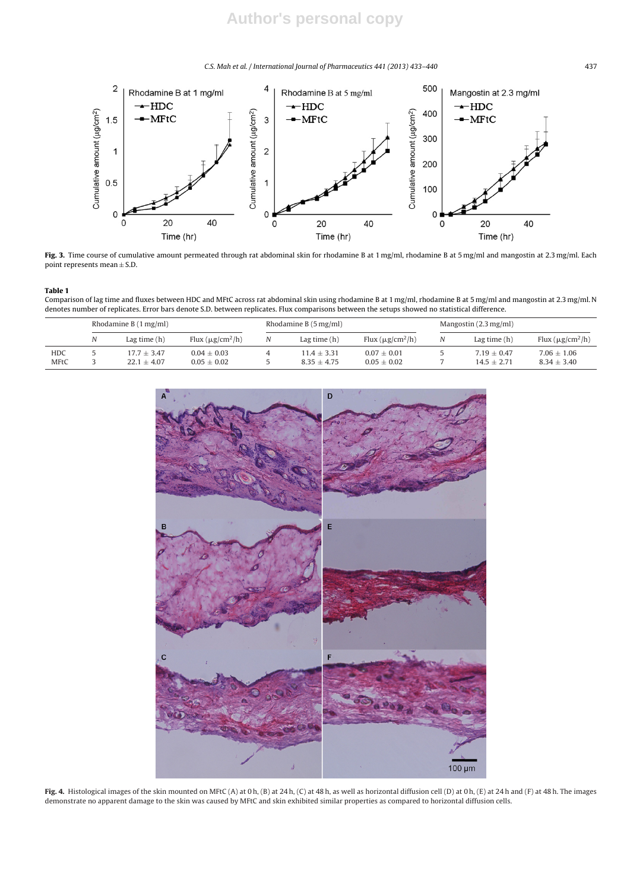C.S. Mah et al. / International Journal of Pharmaceutics *441 (2013) 433–440* 437



Fig. 3. Time course of cumulative amount permeated through rat abdominal skin for rhodamine B at 1 mg/ml, rhodamine B at 5 mg/ml and mangostin at 2.3 mg/ml. Each point represents mean  $\pm$  S.D.

#### **Table 1**

Comparison of lag time and fluxes between HDC and MFtC across rat abdominal skin using rhodamine B at 1 mg/ml, rhodamine B at 5 mg/ml and mangostin at 2.3 mg/ml. N denotes number of replicates. Error bars denote S.D. between replicates. Flux comparisons between the setups showed no statistical difference.

|             | Rhodamine B $(1 \text{ mg/ml})$ |                |                       | Rhodamine B $(5 \,\text{mg/ml})$ |                |                       | Mangostin $(2.3 \,\mathrm{mg/ml})$ |                |                       |
|-------------|---------------------------------|----------------|-----------------------|----------------------------------|----------------|-----------------------|------------------------------------|----------------|-----------------------|
|             | N                               | Lag time $(h)$ | Flux $(\mu g/cm^2/h)$ | N                                | Lag time $(h)$ | Flux $(\mu g/cm^2/h)$ | Ν                                  | Lag time $(h)$ | Flux $(\mu g/cm^2/h)$ |
| HDC         |                                 | $17.7 + 3.47$  | $0.04 \pm 0.03$       | 4                                | $11.4 + 3.31$  | $0.07 \pm 0.01$       |                                    | $7.19 + 0.47$  | $7.06 \pm 1.06$       |
| <b>MFtC</b> |                                 | $22.1 + 4.07$  | $0.05 \pm 0.02$       |                                  | $8.35 + 4.75$  | $0.05 \pm 0.02$       |                                    | $14.5 + 2.71$  | $8.34 \pm 3.40$       |



Fig. 4. Histological images of the skin mounted on MFtC (A) at 0 h, (B) at 24 h, (C) at 48 h, as well as horizontal diffusion cell (D) at 0 h, (E) at 24 h and (F) at 48 h. The images demonstrate no apparent damage to the skin was caused by MFtC and skin exhibited similar properties as compared to horizontal diffusion cells.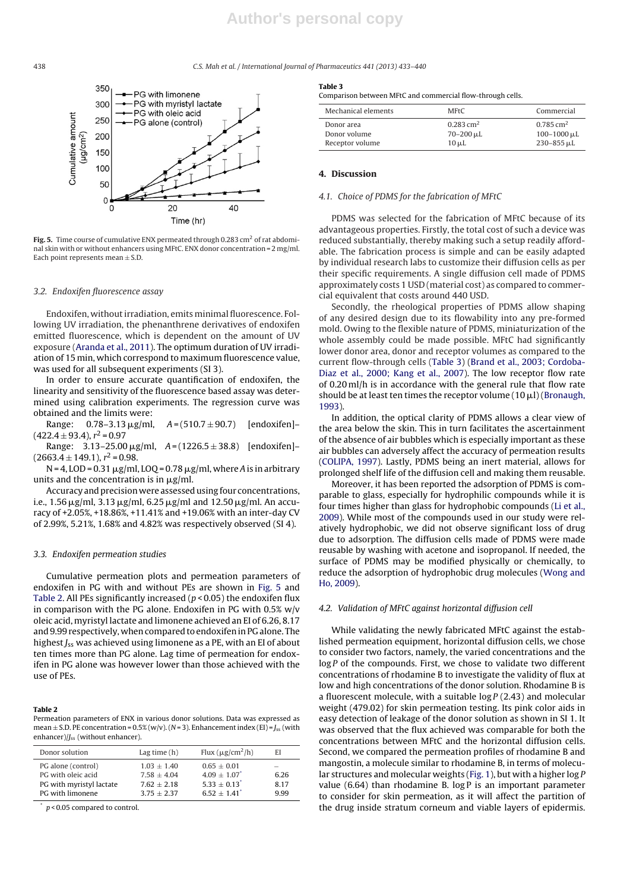#### 438 C.S. Mah et al. / International Journal of Pharmaceutics *441 (2013) 433–440*



Fig. 5. Time course of cumulative ENX permeated through 0.283 cm<sup>2</sup> of rat abdominal skin with or without enhancers using MFtC. ENX donor concentration = 2 mg/ml. Each point represents mean  $\pm$  S.D.

#### 3.2. Endoxifen fluorescence assay

Endoxifen, without irradiation, emits minimal fluorescence. Following UV irradiation, the phenanthrene derivatives of endoxifen emitted fluorescence, which is dependent on the amount of UV exposure (Aranda et al., 2011). The optimum duration of UV irradiation of 15 min, which correspond to maximum fluorescence value, was used for all subsequent experiments (SI 3).

In order to ensure accurate quantification of endoxifen, the linearity and sensitivity of the fluorescence based assay was determined using calibration experiments. The regression curve was obtained and the limits were:

Range:  $0.78-3.13 \mu g/ml$ ,  $A = (510.7 \pm 90.7)$  [endoxifen]- $(422.4 \pm 93.4), r^2 = 0.97$ 

Range:  $3.13-25.00 \,\mu$ g/ml,  $A = (1226.5 \pm 38.8)$  [endoxifen]- $(2663.4 \pm 149.1), r^2 = 0.98.$ 

 $N = 4$ , LOD = 0.31  $\mu$ g/ml, LOQ = 0.78  $\mu$ g/ml, where A is in arbitrary units and the concentration is in  $\mu$ g/ml.

Accuracy and precision were assessed using four concentrations, i.e., 1.56  $\mu$ g/ml, 3.13  $\mu$ g/ml, 6.25  $\mu$ g/ml and 12.50  $\mu$ g/ml. An accuracy of +2.05%, +18.86%, +11.41% and +19.06% with an inter-day CV of 2.99%, 5.21%, 1.68% and 4.82% was respectively observed (SI 4).

#### 3.3. Endoxifen permeation studies

Cumulative permeation plots and permeation parameters of endoxifen in PG with and without PEs are shown in Fig. 5 and Table 2. All PEs significantly increased ( $p$  < 0.05) the endoxifen flux in comparison with the PG alone. Endoxifen in PG with 0.5% w/v oleic acid, myristyl lactate and limonene achieved an EI of 6.26, 8.17 and 9.99 respectively, when compared to endoxifen in PG alone. The highest  $J_{ss}$  was achieved using limonene as a PE, with an EI of about ten times more than PG alone. Lag time of permeation for endoxifen in PG alone was however lower than those achieved with the use of PEs.

#### **Table 2**

Permeation parameters of ENX in various donor solutions. Data was expressed as mean  $\pm$  S.D. PE concentration = 0.5% (w/v). (N = 3). Enhancement index (EI) =  $J_{ss}$  (with enhancer)/*J<sub>ss</sub>* (without enhancer).

| Donor solution           | Lag time $(h)$ | Flux $(\mu g/cm^2/h)$      | EI                       |
|--------------------------|----------------|----------------------------|--------------------------|
| PG alone (control)       | $1.03 + 1.40$  | $0.65 + 0.01$              | $\overline{\phantom{a}}$ |
| PG with oleic acid       | $7.58 + 4.04$  | $4.09 + 1.07$ <sup>*</sup> | 6.26                     |
| PG with myristyl lactate | $7.62 + 2.18$  | $5.33 + 0.13$ <sup>*</sup> | 8.17                     |
| PG with limonene         | $3.75 + 2.37$  | $6.52 + 1.41$ <sup>*</sup> | 999                      |

 $p < 0.05$  compared to control.

**Table 3**

Comparison between MFtC and commercial flow-through cells.

| Mechanical elements | <b>MFtC</b>             | Commercial              |
|---------------------|-------------------------|-------------------------|
| Donor area          | $0.283$ cm <sup>2</sup> | $0.785 \,\mathrm{cm}^2$ |
| Donor volume        | $70 - 200 \mu L$        | $100 - 1000 \,\mu L$    |
| Receptor volume     | $10 \mu L$              | $230 - 855$ µL          |

#### **4. Discussion**

### 4.1. Choice of PDMS for the fabrication of MFtC

PDMS was selected for the fabrication of MFtC because of its advantageous properties. Firstly, the total cost of such a device was reduced substantially, thereby making such a setup readily affordable. The fabrication process is simple and can be easily adapted by individual research labs to customize their diffusion cells as per their specific requirements. A single diffusion cell made of PDMS approximately costs 1 USD (material cost) as compared to commercial equivalent that costs around 440 USD.

Secondly, the rheological properties of PDMS allow shaping of any desired design due to its flowability into any pre-formed mold. Owing to the flexible nature of PDMS, miniaturization of the whole assembly could be made possible. MFtC had significantly lower donor area, donor and receptor volumes as compared to the current flow-through cells (Table 3) (Brand et al., 2003; Cordoba-Diaz et al., 2000; Kang et al., 2007). The low receptor flow rate of 0.20 ml/h is in accordance with the general rule that flow rate should be at least ten times the receptor volume  $(10 \mu l)$  (Bronaugh, 1993).

In addition, the optical clarity of PDMS allows a clear view of the area below the skin. This in turn facilitates the ascertainment of the absence of air bubbles which is especially important as these air bubbles can adversely affect the accuracy of permeation results (COLIPA, 1997). Lastly, PDMS being an inert material, allows for prolonged shelf life of the diffusion cell and making them reusable.

Moreover, it has been reported the adsorption of PDMS is comparable to glass, especially for hydrophilic compounds while it is four times higher than glass for hydrophobic compounds (Li et al., 2009). While most of the compounds used in our study were relatively hydrophobic, we did not observe significant loss of drug due to adsorption. The diffusion cells made of PDMS were made reusable by washing with acetone and isopropanol. If needed, the surface of PDMS may be modified physically or chemically, to reduce the adsorption of hydrophobic drug molecules (Wong and Ho, 2009).

#### 4.2. Validation of MFtC against horizontal diffusion cell

While validating the newly fabricated MFtC against the established permeation equipment, horizontal diffusion cells, we chose to consider two factors, namely, the varied concentrations and the log P of the compounds. First, we chose to validate two different concentrations of rhodamine B to investigate the validity of flux at low and high concentrations of the donor solution. Rhodamine B is a fluorescent molecule, with a suitable  $log P(2.43)$  and molecular weight (479.02) for skin permeation testing. Its pink color aids in easy detection of leakage of the donor solution as shown in SI 1. It was observed that the flux achieved was comparable for both the concentrations between MFtC and the horizontal diffusion cells. Second, we compared the permeation profiles of rhodamine B and mangostin, a molecule similar to rhodamine B, in terms of molecular structures and molecular weights (Fig. 1), but with a higher log P value (6.64) than rhodamine B. log P is an important parameter to consider for skin permeation, as it will affect the partition of the drug inside stratum corneum and viable layers of epidermis.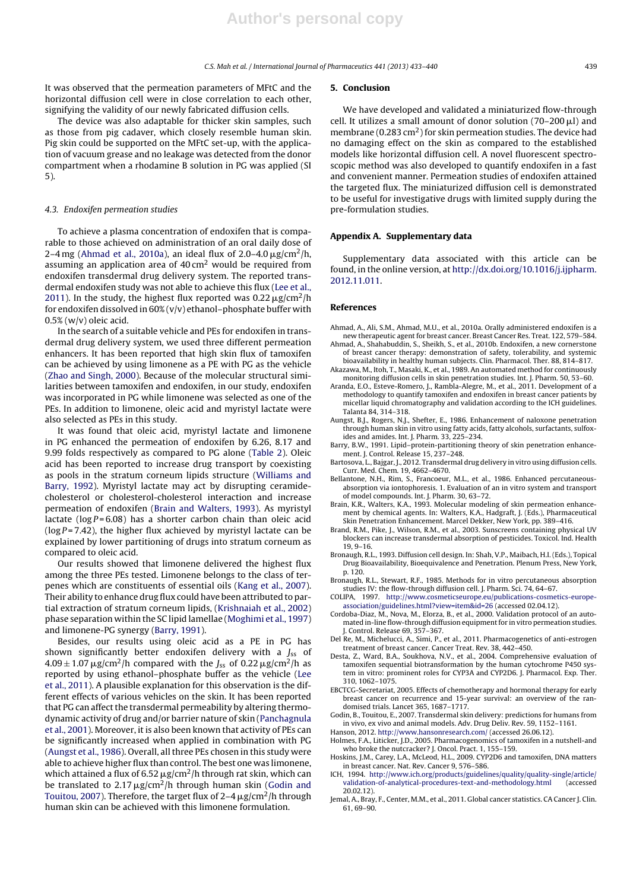It was observed that the permeation parameters of MFtC and the horizontal diffusion cell were in close correlation to each other, signifying the validity of our newly fabricated diffusion cells.

The device was also adaptable for thicker skin samples, such as those from pig cadaver, which closely resemble human skin. Pig skin could be supported on the MFtC set-up, with the application of vacuum grease and no leakage was detected from the donor compartment when a rhodamine B solution in PG was applied (SI 5).

#### 4.3. Endoxifen permeation studies

To achieve a plasma concentration of endoxifen that is comparable to those achieved on administration of an oral daily dose of 2–4 mg (Ahmad et al., 2010a), an ideal flux of 2.0–4.0  $\mu$ g/cm<sup>2</sup>/h, assuming an application area of 40 cm2 would be required from endoxifen transdermal drug delivery system. The reported transdermal endoxifen study was not able to achieve this flux (Lee et al., 2011). In the study, the highest flux reported was  $0.22 \mu$ g/cm<sup>2</sup>/h for endoxifen dissolved in  $60\%$  (v/v) ethanol-phosphate buffer with 0.5% (w/v) oleic acid.

In the search of a suitable vehicle and PEs for endoxifen in transdermal drug delivery system, we used three different permeation enhancers. It has been reported that high skin flux of tamoxifen can be achieved by using limonene as a PE with PG as the vehicle (Zhao and Singh, 2000). Because of the molecular structural similarities between tamoxifen and endoxifen, in our study, endoxifen was incorporated in PG while limonene was selected as one of the PEs. In addition to limonene, oleic acid and myristyl lactate were also selected as PEs in this study.

It was found that oleic acid, myristyl lactate and limonene in PG enhanced the permeation of endoxifen by 6.26, 8.17 and 9.99 folds respectively as compared to PG alone (Table 2). Oleic acid has been reported to increase drug transport by coexisting as pools in the stratum corneum lipids structure (Williams and Barry, 1992). Myristyl lactate may act by disrupting ceramidecholesterol or cholesterol-cholesterol interaction and increase permeation of endoxifen (Brain and Walters, 1993). As myristyl lactate ( $log P = 6.08$ ) has a shorter carbon chain than oleic acid ( $log P = 7.42$ ), the higher flux achieved by myristyl lactate can be explained by lower partitioning of drugs into stratum corneum as compared to oleic acid.

Our results showed that limonene delivered the highest flux among the three PEs tested. Limonene belongs to the class of terpenes which are constituents of essential oils (Kang et al., 2007). Their ability to enhance drug flux could have been attributed to partial extraction of stratum corneum lipids, (Krishnaiah et al., 2002) phase separation within the SC lipid lamellae (Moghimi et al., 1997) and limonene-PG synergy (Barry, 1991).

Besides, our results using oleic acid as a PE in PG has shown significantly better endoxifen delivery with a  $J_{ss}$  of  $4.09 \pm 1.07 \,\mu$ g/cm<sup>2</sup>/h compared with the J<sub>ss</sub> of 0.22  $\mu$ g/cm<sup>2</sup>/h as reported by using ethanol–phosphate buffer as the vehicle (Lee et al., 2011). A plausible explanation for this observation is the different effects of various vehicles on the skin. It has been reported that PG can affect the transdermal permeability by altering thermodynamic activity of drug and/or barrier nature of skin (Panchagnula et al., 2001). Moreover, it is also been known that activity of PEs can be significantly increased when applied in combination with PG (Aungst et al., 1986). Overall, all three PEs chosen in this study were able to achieve higher flux than control. The best one was limonene, which attained a flux of 6.52  $\mu$ g/cm<sup>2</sup>/h through rat skin, which can be translated to 2.17  $\mu$ g/cm<sup>2</sup>/h through human skin (Godin and Touitou, 2007). Therefore, the target flux of  $2-4 \mu$ g/cm<sup>2</sup>/h through human skin can be achieved with this limonene formulation.

#### **5. Conclusion**

We have developed and validated a miniaturized flow-through cell. It utilizes a small amount of donor solution  $(70-200 \,\mu$ l) and membrane (0.283 cm<sup>2</sup>) for skin permeation studies. The device had no damaging effect on the skin as compared to the established models like horizontal diffusion cell. A novel fluorescent spectroscopic method was also developed to quantify endoxifen in a fast and convenient manner. Permeation studies of endoxifen attained the targeted flux. The miniaturized diffusion cell is demonstrated to be useful for investigative drugs with limited supply during the pre-formulation studies.

#### **Appendix A. Supplementary data**

Supplementary data associated with this article can be found, in the online version, at http://dx.doi.org/10.1016/j.ijpharm. 2012.11.011.

#### **References**

- Ahmad, A., Ali, S.M., Ahmad, M.U., et al., 2010a. Orally administered endoxifen is a new therapeutic agent for breast cancer. Breast Cancer Res. Treat. 122, 579–584.
- Ahmad, A., Shahabuddin, S., Sheikh, S., et al., 2010b. Endoxifen, a new cornerstone of breast cancer therapy: demonstration of safety, tolerability, and systemic bioavailability in healthy human subjects. Clin. Pharmacol. Ther. 88, 814–817.
- Akazawa, M., Itoh, T., Masaki, K., et al., 1989. An automated method for continuously monitoring diffusion cells in skin penetration studies. Int. J. Pharm. 50, 53–60.
- Aranda, E.O., Esteve-Romero, J., Rambla-Alegre, M., et al., 2011. Development of a methodology to quantify tamoxifen and endoxifen in breast cancer patients by micellar liquid chromatography and validation according to the ICH guidelines. Talanta 84, 314–318.
- Aungst, B.J., Rogers, N.J., Shefter, E., 1986. Enhancement of naloxone penetration through human skin in vitro using fatty acids, fatty alcohols, surfactants, sulfoxides and amides. Int. J. Pharm. 33, 225–234.
- Barry, B.W., 1991. Lipid–protein-partitioning theory of skin penetration enhancement. J. Control. Release 15, 237–248.
- Bartosova, L., Bajgar, J., 2012. Transdermal drug delivery in vitro using diffusion cells. Curr. Med. Chem. 19, 4662–4670.
- Bellantone, N.H., Rim, S., Francoeur, M.L., et al., 1986. Enhanced percutaneousabsorption via iontophoresis. 1. Evaluation of an in vitro system and transport of model compounds. Int. J. Pharm. 30, 63–72.
- Brain, K.R., Walters, K.A., 1993. Molecular modeling of skin permeation enhancement by chemical agents. In: Walters, K.A., Hadgraft, J. (Eds.), Pharmaceutical Skin Penetration Enhancement. Marcel Dekker, New York, pp. 389–416.
- Brand, R.M., Pike, J., Wilson, R.M., et al., 2003. Sunscreens containing physical UV blockers can increase transdermal absorption of pesticides. Toxicol. Ind. Health 19, 9–16.
- Bronaugh, R.L., 1993. Diffusion cell design. In: Shah, V.P., Maibach, H.I. (Eds.), Topical Drug Bioavailability, Bioequivalence and Penetration. Plenum Press, New York, p. 120.
- Bronaugh, R.L., Stewart, R.F., 1985. Methods for in vitro percutaneous absorption studies IV: the flow-through diffusion cell. J. Pharm. Sci. 74, 64–67.
- COLIPA, 1997. http://www.cosmeticseurope.eu/publications-cosmetics-europeassociation/guidelines.html?view=item&id=26 (accessed 02.04.12).
- Cordoba-Diaz, M., Nova, M., Elorza, B., et al., 2000. Validation protocol of an automated in-line flow-through diffusion equipment for in vitro permeation studies. J. Control. Release 69, 357–367.
- Del Re, M., Michelucci, A., Simi, P., et al., 2011. Pharmacogenetics of anti-estrogen treatment of breast cancer. Cancer Treat. Rev. 38, 442–450. Desta, Z., Ward, B.A., Soukhova, N.V., et al., 2004. Comprehensive evaluation of
- tamoxifen sequential biotransformation by the human cytochrome P450 system in vitro: prominent roles for CYP3A and CYP2D6. J. Pharmacol. Exp. Ther. 310, 1062–1075.
- EBCTCG-Secretariat, 2005. Effects of chemotherapy and hormonal therapy for early breast cancer on recurrence and 15-year survival: an overview of the randomised trials. Lancet 365, 1687–1717.
- Godin, B., Touitou, E., 2007. Transdermal skin delivery: predictions for humans from in vivo, ex vivo and animal models. Adv. Drug Deliv. Rev. 59, 1152–1161.
- Hanson, 2012. http://www.hansonresearch.com/ (accessed 26.06.12).
- Holmes, F.A., Liticker, J.D., 2005. Pharmacogenomics of tamoxifen in a nutshell-and who broke the nutcracker? I. Oncol. Pract. 1, 155-159. Hoskins, J.M., Carey, L.A., McLeod, H.L., 2009. CYP2D6 and tamoxifen, DNA matters
- in breast cancer. Nat. Rev. Cancer 9, 576–586. ICH, 1994. http://www.ich.org/products/guidelines/quality/quality-single/article/
- validation-of-analytical-procedures-text-and-methodology.html (accessed  $20.02.12$
- Jemal, A., Bray, F., Center, M.M., et al., 2011. Global cancer statistics. CA Cancer J. Clin. 61, 69–90.